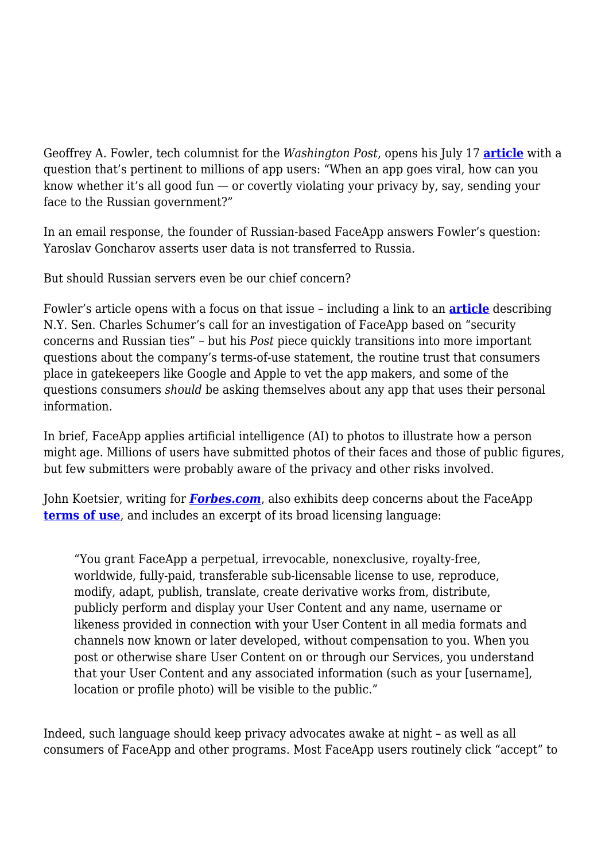Geoffrey A. Fowler, tech columnist for the *Washington Post*, opens his July 17 **[article](https://www.washingtonpost.com/technology/2019/07/17/you-downloaded-faceapp-heres-what-youve-just-done-your-privacy/?utm_term=.15aab452b733)** with a question that's pertinent to millions of app users: "When an app goes viral, how can you know whether it's all good fun — or covertly violating your privacy by, say, sending your face to the Russian government?"

In an email response, the founder of Russian-based FaceApp answers Fowler's question: Yaroslav Goncharov asserts user data is not transferred to Russia.

But should Russian servers even be our chief concern?

Fowler's article opens with a focus on that issue – including a link to an **[article](https://www.washingtonpost.com/technology/2019/07/18/schumer-calls-investigation-into-faceapp-over-security-concerns-russia-ties/?noredirect=on&utm_term=.bea1299ca207)** describing N.Y. Sen. Charles Schumer's call for an investigation of FaceApp based on "security concerns and Russian ties" – but his *Post* piece quickly transitions into more important questions about the company's terms-of-use statement, the routine trust that consumers place in gatekeepers like Google and Apple to vet the app makers, and some of the questions consumers *should* be asking themselves about any app that uses their personal information.

In brief, FaceApp applies artificial intelligence (AI) to photos to illustrate how a person might age. Millions of users have submitted photos of their faces and those of public figures, but few submitters were probably aware of the privacy and other risks involved.

John Koetsier, writing for *[Forbes.com](https://www.forbes.com/sites/johnkoetsier/2019/07/17/viral-app-faceapp-now-owns-access-to-more-than-150-million-peoples-faces-and-names/#7158478662f1)*, also exhibits deep concerns about the FaceApp **[terms of use](https://faceapp.com/terms)**, and includes an excerpt of its broad licensing language:

"You grant FaceApp a perpetual, irrevocable, nonexclusive, royalty-free, worldwide, fully-paid, transferable sub-licensable license to use, reproduce, modify, adapt, publish, translate, create derivative works from, distribute, publicly perform and display your User Content and any name, username or likeness provided in connection with your User Content in all media formats and channels now known or later developed, without compensation to you. When you post or otherwise share User Content on or through our Services, you understand that your User Content and any associated information (such as your [username], location or profile photo) will be visible to the public."

Indeed, such language should keep privacy advocates awake at night – as well as all consumers of FaceApp and other programs. Most FaceApp users routinely click "accept" to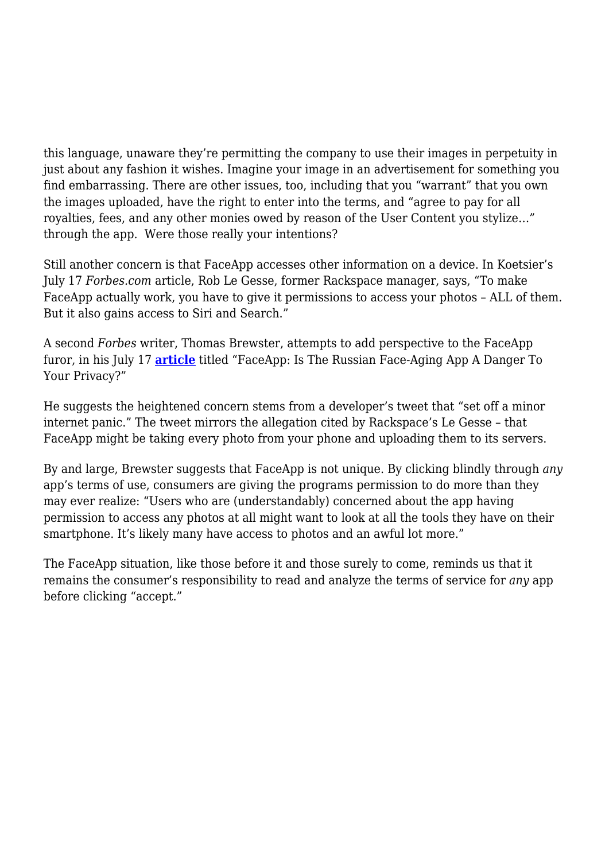this language, unaware they're permitting the company to use their images in perpetuity in just about any fashion it wishes. Imagine your image in an advertisement for something you find embarrassing. There are other issues, too, including that you "warrant" that you own the images uploaded, have the right to enter into the terms, and "agree to pay for all royalties, fees, and any other monies owed by reason of the User Content you stylize…" through the app. Were those really your intentions?

Still another concern is that FaceApp accesses other information on a device. In Koetsier's July 17 *Forbes.com* article, Rob Le Gesse, former Rackspace manager, says, "To make FaceApp actually work, you have to give it permissions to access your photos – ALL of them. But it also gains access to Siri and Search."

A second *Forbes* writer, Thomas Brewster, attempts to add perspective to the FaceApp furor, in his July 17 **[article](https://www.forbes.com/sites/thomasbrewster/2019/07/17/faceapp-is-the-russian-face-aging-app-a-danger-to-your-privacy/#3da7e18b2755)** titled "FaceApp: Is The Russian Face-Aging App A Danger To Your Privacy?"

He suggests the heightened concern stems from a developer's tweet that "set off a minor internet panic." The tweet mirrors the allegation cited by Rackspace's Le Gesse – that FaceApp might be taking every photo from your phone and uploading them to its servers.

By and large, Brewster suggests that FaceApp is not unique. By clicking blindly through *any* app's terms of use, consumers are giving the programs permission to do more than they may ever realize: "Users who are (understandably) concerned about the app having permission to access any photos at all might want to look at all the tools they have on their smartphone. It's likely many have access to photos and an awful lot more."

The FaceApp situation, like those before it and those surely to come, reminds us that it remains the consumer's responsibility to read and analyze the terms of service for *any* app before clicking "accept."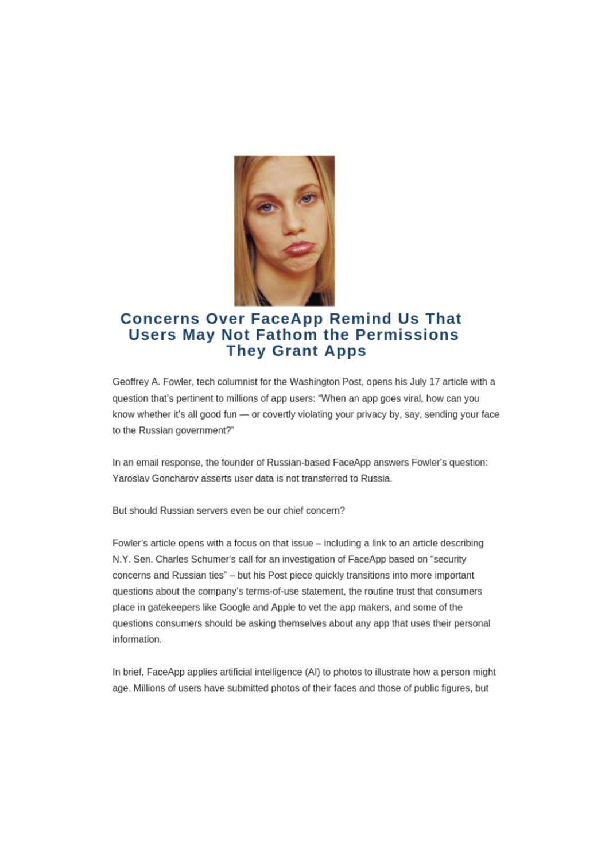

## **Concerns Over FaceApp Remind Us That Users May Not Fathom the Permissions They Grant Apps**

Geoffrey A. Fowler, tech columnist for the Washington Post, opens his July 17 article with a question that's pertinent to millions of app users: "When an app goes viral, how can you know whether it's all good fun - or covertly violating your privacy by, say, sending your face to the Russian government?"

In an email response, the founder of Russian-based FaceApp answers Fowler's question: Yaroslay Goncharov asserts user data is not transferred to Russia.

But should Russian servers even be our chief concern?

Fowler's article opens with a focus on that issue - including a link to an article describing N.Y. Sen. Charles Schumer's call for an investigation of FaceApp based on "security concerns and Russian ties" - but his Post piece quickly transitions into more important questions about the company's terms-of-use statement, the routine trust that consumers place in gatekeepers like Google and Apple to vet the app makers, and some of the questions consumers should be asking themselves about any app that uses their personal information.

In brief, FaceApp applies artificial intelligence (AI) to photos to illustrate how a person might age. Millions of users have submitted photos of their faces and those of public figures, but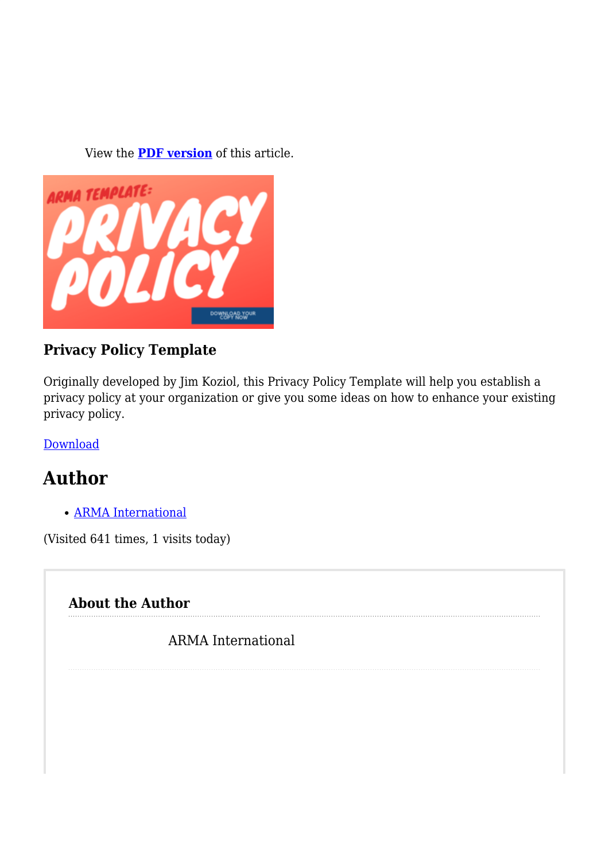View the **[PDF version](https://magazine.arma.org/wp-content/uploads/2019/07/FFaceApp-3.pdf)** of this article.



## **Privacy Policy Template**

Originally developed by Jim Koziol, this Privacy Policy Template will help you establish a privacy policy at your organization or give you some ideas on how to enhance your existing privacy policy.

[Download](https://armai.informz.net/ARMAI/pages/Privacy_Policy_Template2)

## **Author**

[ARMA International](https://magazine.arma.org/author/admin/)

(Visited 641 times, 1 visits today)

## **About the Author**

ARMA International